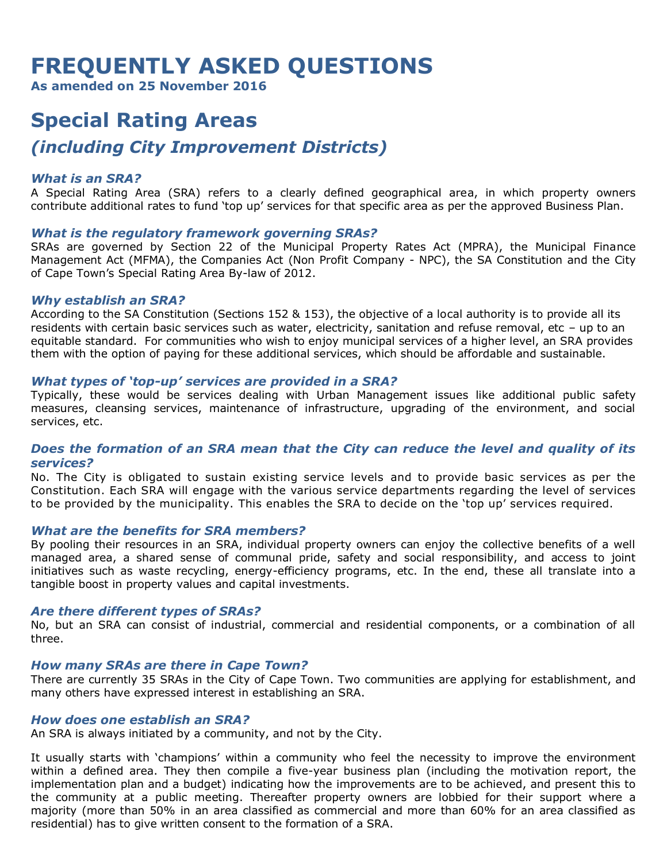# **FREQUENTLY ASKED QUESTIONS**

**As amended on 25 November 2016**

# **Special Rating Areas** *(including City Improvement Districts)*

# *What is an SRA?*

A Special Rating Area (SRA) refers to a clearly defined geographical area, in which property owners contribute additional rates to fund 'top up' services for that specific area as per the approved Business Plan.

# *What is the regulatory framework governing SRAs?*

SRAs are governed by Section 22 of the Municipal Property Rates Act (MPRA), the Municipal Finance Management Act (MFMA), the Companies Act (Non Profit Company - NPC), the SA Constitution and the City of Cape Town's Special Rating Area By-law of 2012.

#### *Why establish an SRA?*

According to the SA Constitution (Sections 152 & 153), the objective of a local authority is to provide all its residents with certain basic services such as water, electricity, sanitation and refuse removal, etc – up to an equitable standard. For communities who wish to enjoy municipal services of a higher level, an SRA provides them with the option of paying for these additional services, which should be affordable and sustainable.

#### *What types of 'top-up' services are provided in a SRA?*

Typically, these would be services dealing with Urban Management issues like additional public safety measures, cleansing services, maintenance of infrastructure, upgrading of the environment, and social services, etc.

# *Does the formation of an SRA mean that the City can reduce the level and quality of its services?*

No. The City is obligated to sustain existing service levels and to provide basic services as per the Constitution. Each SRA will engage with the various service departments regarding the level of services to be provided by the municipality. This enables the SRA to decide on the 'top up' services required.

#### *What are the benefits for SRA members?*

By pooling their resources in an SRA, individual property owners can enjoy the collective benefits of a well managed area, a shared sense of communal pride, safety and social responsibility, and access to joint initiatives such as waste recycling, energy-efficiency programs, etc. In the end, these all translate into a tangible boost in property values and capital investments.

# *Are there different types of SRAs?*

No, but an SRA can consist of industrial, commercial and residential components, or a combination of all three.

# *How many SRAs are there in Cape Town?*

There are currently 35 SRAs in the City of Cape Town. Two communities are applying for establishment, and many others have expressed interest in establishing an SRA.

#### *How does one establish an SRA?*

An SRA is always initiated by a community, and not by the City.

It usually starts with 'champions' within a community who feel the necessity to improve the environment within a defined area. They then compile a five-year business plan (including the motivation report, the implementation plan and a budget) indicating how the improvements are to be achieved, and present this to the community at a public meeting. Thereafter property owners are lobbied for their support where a majority (more than 50% in an area classified as commercial and more than 60% for an area classified as residential) has to give written consent to the formation of a SRA.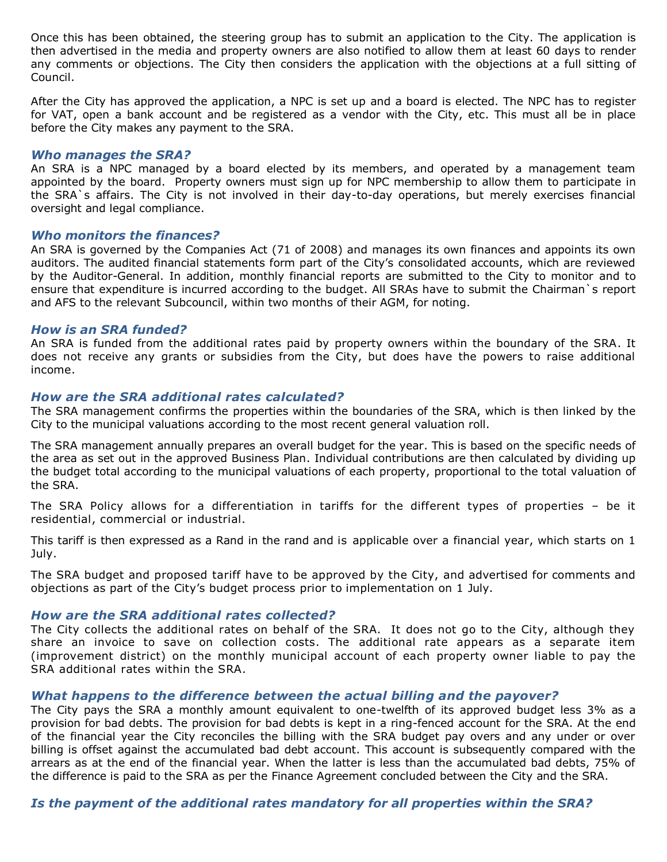Once this has been obtained, the steering group has to submit an application to the City. The application is then advertised in the media and property owners are also notified to allow them at least 60 days to render any comments or objections. The City then considers the application with the objections at a full sitting of Council.

After the City has approved the application, a NPC is set up and a board is elected. The NPC has to register for VAT, open a bank account and be registered as a vendor with the City, etc. This must all be in place before the City makes any payment to the SRA.

#### *Who manages the SRA?*

An SRA is a NPC managed by a board elected by its members, and operated by a management team appointed by the board. Property owners must sign up for NPC membership to allow them to participate in the SRA`s affairs. The City is not involved in their day-to-day operations, but merely exercises financial oversight and legal compliance.

#### *Who monitors the finances?*

An SRA is governed by the Companies Act (71 of 2008) and manages its own finances and appoints its own auditors. The audited financial statements form part of the City's consolidated accounts, which are reviewed by the Auditor-General. In addition, monthly financial reports are submitted to the City to monitor and to ensure that expenditure is incurred according to the budget. All SRAs have to submit the Chairman`s report and AFS to the relevant Subcouncil, within two months of their AGM, for noting.

# *How is an SRA funded?*

An SRA is funded from the additional rates paid by property owners within the boundary of the SRA. It does not receive any grants or subsidies from the City, but does have the powers to raise additional income.

# *How are the SRA additional rates calculated?*

The SRA management confirms the properties within the boundaries of the SRA, which is then linked by the City to the municipal valuations according to the most recent general valuation roll.

The SRA management annually prepares an overall budget for the year. This is based on the specific needs of the area as set out in the approved Business Plan. Individual contributions are then calculated by dividing up the budget total according to the municipal valuations of each property, proportional to the total valuation of the SRA.

The SRA Policy allows for a differentiation in tariffs for the different types of properties – be it residential, commercial or industrial.

This tariff is then expressed as a Rand in the rand and is applicable over a financial year, which starts on 1 July.

The SRA budget and proposed tariff have to be approved by the City, and advertised for comments and objections as part of the City's budget process prior to implementation on 1 July.

# *How are the SRA additional rates collected?*

The City collects the additional rates on behalf of the SRA. It does not go to the City, although they share an invoice to save on collection costs. The additional rate appears as a separate item (improvement district) on the monthly municipal account of each property owner liable to pay the SRA additional rates within the SRA.

# *What happens to the difference between the actual billing and the payover?*

The City pays the SRA a monthly amount equivalent to one-twelfth of its approved budget less 3% as a provision for bad debts. The provision for bad debts is kept in a ring-fenced account for the SRA. At the end of the financial year the City reconciles the billing with the SRA budget pay overs and any under or over billing is offset against the accumulated bad debt account. This account is subsequently compared with the arrears as at the end of the financial year. When the latter is less than the accumulated bad debts, 75% of the difference is paid to the SRA as per the Finance Agreement concluded between the City and the SRA.

# *Is the payment of the additional rates mandatory for all properties within the SRA?*